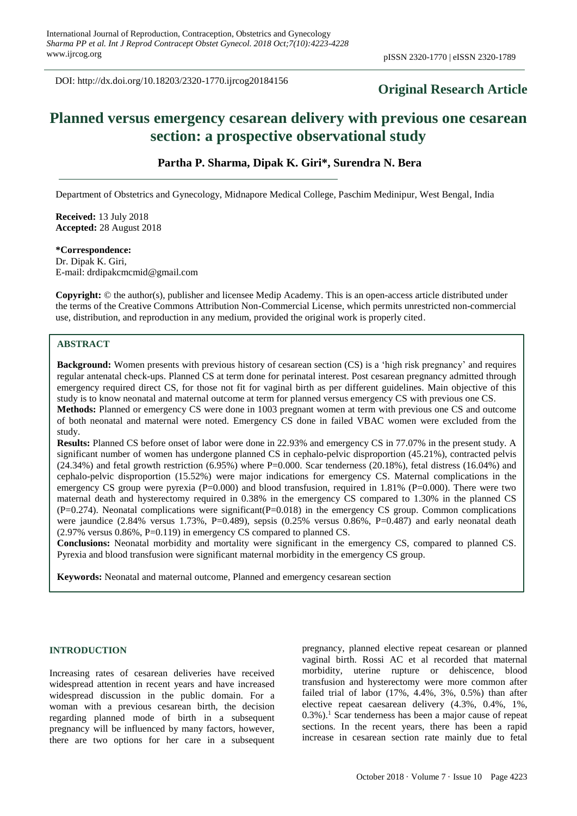DOI: http://dx.doi.org/10.18203/2320-1770.ijrcog20184156

## **Original Research Article**

# **Planned versus emergency cesarean delivery with previous one cesarean section: a prospective observational study**

## **Partha P. Sharma, Dipak K. Giri\*, Surendra N. Bera**

Department of Obstetrics and Gynecology, Midnapore Medical College, Paschim Medinipur, West Bengal, India

**Received:** 13 July 2018 **Accepted:** 28 August 2018

## **\*Correspondence:**

Dr. Dipak K. Giri, E-mail: drdipakcmcmid@gmail.com

**Copyright:** © the author(s), publisher and licensee Medip Academy. This is an open-access article distributed under the terms of the Creative Commons Attribution Non-Commercial License, which permits unrestricted non-commercial use, distribution, and reproduction in any medium, provided the original work is properly cited.

## **ABSTRACT**

**Background:** Women presents with previous history of cesarean section (CS) is a 'high risk pregnancy' and requires regular antenatal check-ups. Planned CS at term done for perinatal interest. Post cesarean pregnancy admitted through emergency required direct CS, for those not fit for vaginal birth as per different guidelines. Main objective of this study is to know neonatal and maternal outcome at term for planned versus emergency CS with previous one CS. **Methods:** Planned or emergency CS were done in 1003 pregnant women at term with previous one CS and outcome of both neonatal and maternal were noted. Emergency CS done in failed VBAC women were excluded from the study.

**Results:** Planned CS before onset of labor were done in 22.93% and emergency CS in 77.07% in the present study. A significant number of women has undergone planned CS in cephalo-pelvic disproportion (45.21%), contracted pelvis  $(24.34%)$  and fetal growth restriction  $(6.95%)$  where P=0.000. Scar tenderness  $(20.18%)$ , fetal distress  $(16.04%)$  and cephalo-pelvic disproportion (15.52%) were major indications for emergency CS. Maternal complications in the emergency CS group were pyrexia (P=0.000) and blood transfusion, required in 1.81% (P=0.000). There were two maternal death and hysterectomy required in 0.38% in the emergency CS compared to 1.30% in the planned CS  $(P=0.274)$ . Neonatal complications were significant $(P=0.018)$  in the emergency CS group. Common complications were jaundice (2.84% versus 1.73%, P=0.489), sepsis (0.25% versus 0.86%, P=0.487) and early neonatal death (2.97% versus 0.86%, P=0.119) in emergency CS compared to planned CS.

**Conclusions:** Neonatal morbidity and mortality were significant in the emergency CS, compared to planned CS. Pyrexia and blood transfusion were significant maternal morbidity in the emergency CS group.

**Keywords:** Neonatal and maternal outcome, Planned and emergency cesarean section

## **INTRODUCTION**

Increasing rates of cesarean deliveries have received widespread attention in recent years and have increased widespread discussion in the public domain. For a woman with a previous cesarean birth, the decision regarding planned mode of birth in a subsequent pregnancy will be influenced by many factors, however, there are two options for her care in a subsequent pregnancy, planned elective repeat cesarean or planned vaginal birth. Rossi AC et al recorded that maternal morbidity, uterine rupture or dehiscence, blood transfusion and hysterectomy were more common after failed trial of labor (17%, 4.4%, 3%, 0.5%) than after elective repeat caesarean delivery (4.3%, 0.4%, 1%,  $(0.3\%)$ <sup>1</sup>. Scar tenderness has been a major cause of repeat sections. In the recent years, there has been a rapid increase in cesarean section rate mainly due to fetal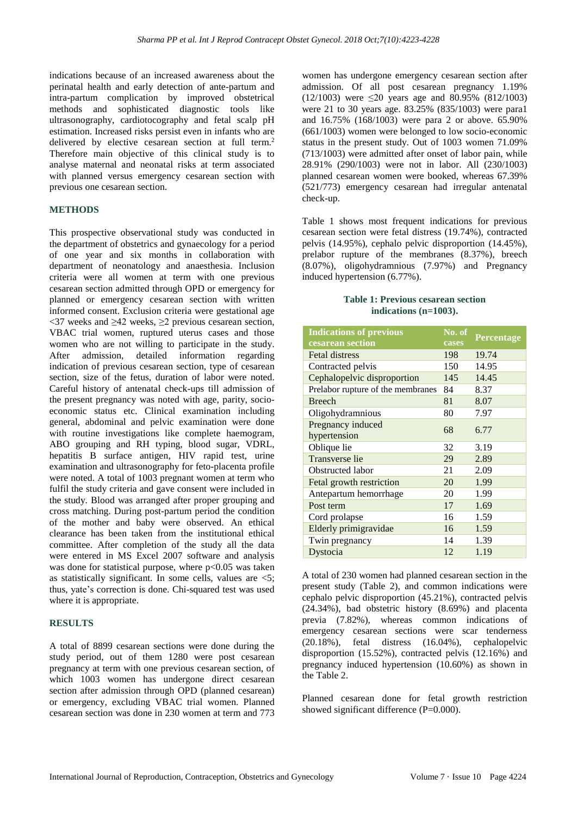indications because of an increased awareness about the perinatal health and early detection of ante-partum and intra-partum complication by improved obstetrical methods and sophisticated diagnostic tools like ultrasonography, cardiotocography and fetal scalp pH estimation. Increased risks persist even in infants who are delivered by elective cesarean section at full term.<sup>2</sup> Therefore main objective of this clinical study is to analyse maternal and neonatal risks at term associated with planned versus emergency cesarean section with previous one cesarean section.

## **METHODS**

This prospective observational study was conducted in the department of obstetrics and gynaecology for a period of one year and six months in collaboration with department of neonatology and anaesthesia. Inclusion criteria were all women at term with one previous cesarean section admitted through OPD or emergency for planned or emergency cesarean section with written informed consent. Exclusion criteria were gestational age  $<37$  weeks and  $>42$  weeks,  $>2$  previous cesarean section, VBAC trial women, ruptured uterus cases and those women who are not willing to participate in the study. After admission, detailed information regarding indication of previous cesarean section, type of cesarean section, size of the fetus, duration of labor were noted. Careful history of antenatal check-ups till admission of the present pregnancy was noted with age, parity, socioeconomic status etc. Clinical examination including general, abdominal and pelvic examination were done with routine investigations like complete haemogram, ABO grouping and RH typing, blood sugar, VDRL, hepatitis B surface antigen, HIV rapid test, urine examination and ultrasonography for feto-placenta profile were noted. A total of 1003 pregnant women at term who fulfil the study criteria and gave consent were included in the study. Blood was arranged after proper grouping and cross matching. During post-partum period the condition of the mother and baby were observed. An ethical clearance has been taken from the institutional ethical committee. After completion of the study all the data were entered in MS Excel 2007 software and analysis was done for statistical purpose, where  $p<0.05$  was taken as statistically significant. In some cells, values are <5; thus, yate's correction is done. Chi-squared test was used where it is appropriate.

## **RESULTS**

A total of 8899 cesarean sections were done during the study period, out of them 1280 were post cesarean pregnancy at term with one previous cesarean section, of which 1003 women has undergone direct cesarean section after admission through OPD (planned cesarean) or emergency, excluding VBAC trial women. Planned cesarean section was done in 230 women at term and 773 women has undergone emergency cesarean section after admission. Of all post cesarean pregnancy 1.19% (12/1003) were ≤20 years age and 80.95% (812/1003) were 21 to 30 years age. 83.25% (835/1003) were para1 and 16.75% (168/1003) were para 2 or above. 65.90% (661/1003) women were belonged to low socio-economic status in the present study. Out of 1003 women 71.09% (713/1003) were admitted after onset of labor pain, while 28.91% (290/1003) were not in labor. All (230/1003) planned cesarean women were booked, whereas 67.39% (521/773) emergency cesarean had irregular antenatal check-up.

Table 1 shows most frequent indications for previous cesarean section were fetal distress (19.74%), contracted pelvis (14.95%), cephalo pelvic disproportion (14.45%), prelabor rupture of the membranes (8.37%), breech (8.07%), oligohydramnious (7.97%) and Pregnancy induced hypertension (6.77%).

#### **Table 1: Previous cesarean section indications (n=1003).**

| <b>Indications of previous</b>    | No. of | Percentage |  |
|-----------------------------------|--------|------------|--|
| cesarean section                  | cases  |            |  |
| <b>Fetal distress</b>             | 198    | 19.74      |  |
| Contracted pelvis                 | 150    | 14.95      |  |
| Cephalopelvic disproportion       | 145    | 14.45      |  |
| Prelabor rupture of the membranes | 84     | 8.37       |  |
| <b>Breech</b>                     | 81     | 8.07       |  |
| Oligohydramnious                  | 80     | 7.97       |  |
| Pregnancy induced                 | 68     | 6.77       |  |
| hypertension                      |        |            |  |
| Oblique lie                       | 32     | 3.19       |  |
| Transverse lie                    | 29     | 2.89       |  |
| Obstructed labor                  | 21     | 2.09       |  |
| Fetal growth restriction          | 20     | 1.99       |  |
| Antepartum hemorrhage             | 20     | 1.99       |  |
| Post term                         | 17     | 1.69       |  |
| Cord prolapse                     | 16     | 1.59       |  |
| Elderly primigravidae             | 16     | 1.59       |  |
| Twin pregnancy                    | 14     | 1.39       |  |
| Dystocia                          | 12     | 1.19       |  |

A total of 230 women had planned cesarean section in the present study (Table 2), and common indications were cephalo pelvic disproportion (45.21%), contracted pelvis (24.34%), bad obstetric history (8.69%) and placenta previa (7.82%), whereas common indications of emergency cesarean sections were scar tenderness (20.18%), fetal distress (16.04%), cephalopelvic disproportion (15.52%), contracted pelvis (12.16%) and pregnancy induced hypertension (10.60%) as shown in the Table 2.

Planned cesarean done for fetal growth restriction showed significant difference (P=0.000).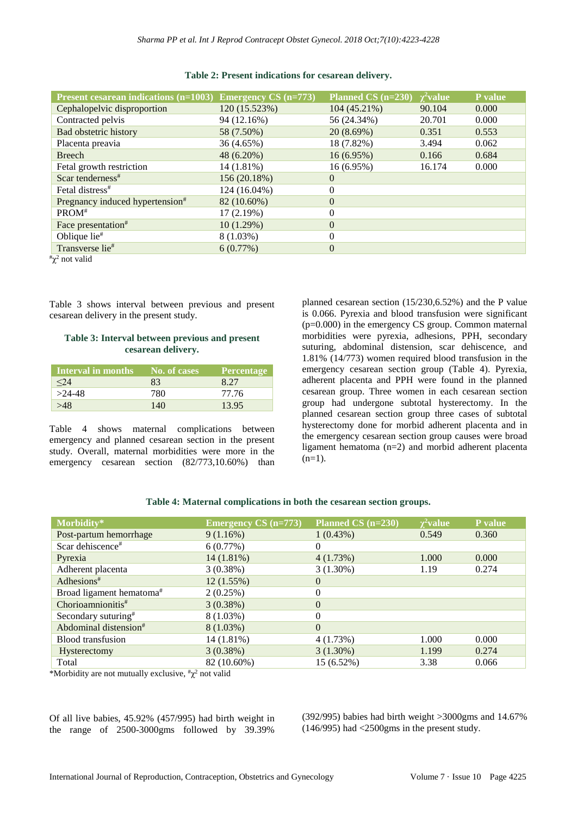| Present cesarean indications $(n=1003)$ Emergency CS $(n=773)$ |               | Planned CS (n=230) | $\chi^2$ value | P value |
|----------------------------------------------------------------|---------------|--------------------|----------------|---------|
| Cephalopelvic disproportion                                    | 120 (15.523%) | 104 (45.21%)       | 90.104         | 0.000   |
| Contracted pelvis                                              | 94 (12.16%)   | 56 (24.34%)        | 20.701         | 0.000   |
| <b>Bad obstetric history</b>                                   | 58 (7.50%)    | 20(8.69%)          | 0.351          | 0.553   |
| Placenta preavia                                               | 36 (4.65%)    | 18 (7.82%)         | 3.494          | 0.062   |
| <b>Breech</b>                                                  | 48 (6.20%)    | $16(6.95\%)$       | 0.166          | 0.684   |
| Fetal growth restriction                                       | $14(1.81\%)$  | $16(6.95\%)$       | 16.174         | 0.000   |
| Scar tenderness <sup>#</sup>                                   | 156 (20.18%)  | $\theta$           |                |         |
| Fetal distress <sup>#</sup>                                    | 124 (16.04%)  | $\theta$           |                |         |
| Pregnancy induced hypertension <sup>#</sup>                    | 82 (10.60%)   | $\Omega$           |                |         |
| $PROM*$                                                        | 17(2.19%)     | $\theta$           |                |         |
| Face presentation <sup>#</sup>                                 | 10(1.29%)     | $\theta$           |                |         |
| Oblique lie <sup>#</sup>                                       | $8(1.03\%)$   | $\theta$           |                |         |
| Transverse lie#                                                | 6(0.77%)      | $\theta$           |                |         |
| $\pi$ <sup>2</sup> not valid                                   |               |                    |                |         |

#### **Table 2: Present indications for cesarean delivery.**

Table 3 shows interval between previous and present cesarean delivery in the present study.

## **Table 3: Interval between previous and present cesarean delivery.**

| Interval in months | No. of cases | Percentage |
|--------------------|--------------|------------|
| -24                | 83           | 8.27       |
| $>24-48$           | 780          | 77.76      |
| $-48$              | 140          | 13.95      |

Table 4 shows maternal complications between emergency and planned cesarean section in the present study. Overall, maternal morbidities were more in the emergency cesarean section  $(82/773,10.60%)$  than planned cesarean section (15/230,6.52%) and the P value is 0.066. Pyrexia and blood transfusion were significant (p=0.000) in the emergency CS group. Common maternal morbidities were pyrexia, adhesions, PPH, secondary suturing, abdominal distension, scar dehiscence, and 1.81% (14/773) women required blood transfusion in the emergency cesarean section group (Table 4). Pyrexia, adherent placenta and PPH were found in the planned cesarean group. Three women in each cesarean section group had undergone subtotal hysterectomy. In the planned cesarean section group three cases of subtotal hysterectomy done for morbid adherent placenta and in the emergency cesarean section group causes were broad ligament hematoma (n=2) and morbid adherent placenta  $(n=1)$ .

#### **Table 4: Maternal complications in both the cesarean section groups.**

| Morbidity*                           | <b>Emergency CS</b> (n=773) | Planned CS (n=230) | $\chi^2$ value | <b>P</b> value |
|--------------------------------------|-----------------------------|--------------------|----------------|----------------|
| Post-partum hemorrhage               | 9(1.16%)                    | 1(0.43%)           | 0.549          | 0.360          |
| Scar dehiscence#                     | 6(0.77%)                    | 0                  |                |                |
| Pyrexia                              | 14(1.81%)                   | 4(1.73%)           | 1.000          | 0.000          |
| Adherent placenta                    | 3(0.38%)                    | $3(1.30\%)$        | 1.19           | 0.274          |
| Adhesions <sup>#</sup>               | 12(1.55%)                   | $\theta$           |                |                |
| Broad ligament hematoma <sup>#</sup> | 2(0.25%)                    | 0                  |                |                |
| Chorioamnionitis $*$                 | 3(0.38%)                    | $\overline{0}$     |                |                |
| Secondary suturing <sup>#</sup>      | $8(1.03\%)$                 | 0                  |                |                |
| Abdominal distension <sup>#</sup>    | $8(1.03\%)$                 | $\Omega$           |                |                |
| <b>Blood transfusion</b>             | 14 (1.81%)                  | 4(1.73%)           | 1.000          | 0.000          |
| Hysterectomy                         | 3(0.38%)                    | $3(1.30\%)$        | 1.199          | 0.274          |
| Total                                | 82 (10.60%)                 | 15 (6.52%)         | 3.38           | 0.066          |

\*Morbidity are not mutually exclusive,  $\chi^2$  not valid

Of all live babies, 45.92% (457/995) had birth weight in the range of 2500-3000gms followed by 39.39%

(392/995) babies had birth weight >3000gms and 14.67% (146/995) had <2500gms in the present study.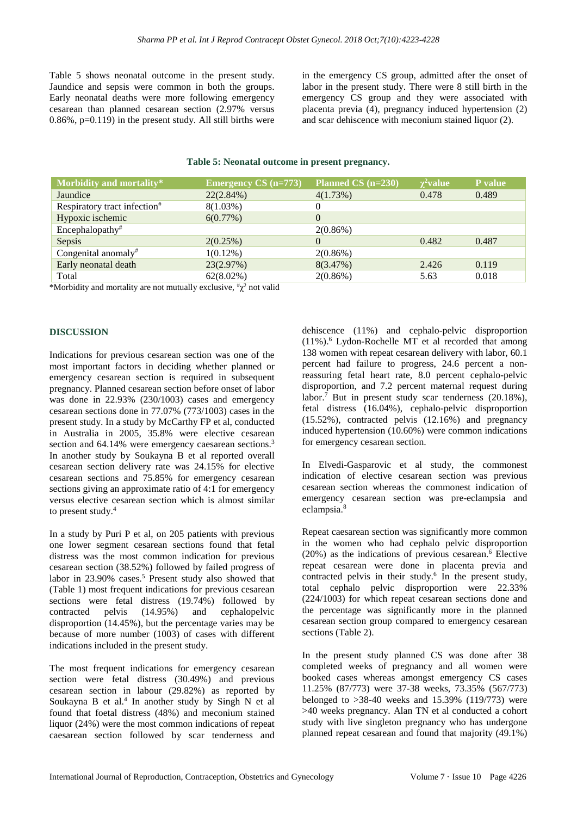Table 5 shows neonatal outcome in the present study. Jaundice and sepsis were common in both the groups. Early neonatal deaths were more following emergency cesarean than planned cesarean section (2.97% versus  $0.86\%$ , p= $0.119$ ) in the present study. All still births were in the emergency CS group, admitted after the onset of labor in the present study. There were 8 still birth in the emergency CS group and they were associated with placenta previa (4), pregnancy induced hypertension (2) and scar dehiscence with meconium stained liquor (2).

#### **Table 5: Neonatal outcome in present pregnancy.**

| Morbidity and mortality*                 | <b>Emergency CS</b> (n=773) | Planned CS (n=230) | $\chi^2$ value | P value |
|------------------------------------------|-----------------------------|--------------------|----------------|---------|
| Jaundice                                 | $22(2.84\%)$                | 4(1.73%)           | 0.478          | 0.489   |
| Respiratory tract infection <sup>#</sup> | $8(1.03\%)$                 | $\theta$           |                |         |
| Hypoxic ischemic                         | 6(0.77%)                    | $\Omega$           |                |         |
| Encephalopathy <sup>#</sup>              |                             | $2(0.86\%)$        |                |         |
| Sepsis                                   | 2(0.25%)                    | $\Omega$           | 0.482          | 0.487   |
| Congenital anomaly <sup>#</sup>          | $1(0.12\%)$                 | $2(0.86\%)$        |                |         |
| Early neonatal death                     | 23(2.97%)                   | 8(3.47%)           | 2.426          | 0.119   |
| Total                                    | $62(8.02\%)$                | $2(0.86\%)$        | 5.63           | 0.018   |

\*Morbidity and mortality are not mutually exclusive,  $\frac{f}{\chi^2}$  not valid

#### **DISCUSSION**

Indications for previous cesarean section was one of the most important factors in deciding whether planned or emergency cesarean section is required in subsequent pregnancy. Planned cesarean section before onset of labor was done in 22.93% (230/1003) cases and emergency cesarean sections done in 77.07% (773/1003) cases in the present study. In a study by McCarthy FP et al, conducted in Australia in 2005, 35.8% were elective cesarean section and 64.14% were emergency caesarean sections.<sup>3</sup> In another study by Soukayna B et al reported overall cesarean section delivery rate was 24.15% for elective cesarean sections and 75.85% for emergency cesarean sections giving an approximate ratio of 4:1 for emergency versus elective cesarean section which is almost similar to present study. 4

In a study by Puri P et al, on 205 patients with previous one lower segment cesarean sections found that fetal distress was the most common indication for previous cesarean section (38.52%) followed by failed progress of labor in 23.90% cases.<sup>5</sup> Present study also showed that (Table 1) most frequent indications for previous cesarean sections were fetal distress (19.74%) followed by contracted pelvis (14.95%) and cephalopelvic disproportion (14.45%), but the percentage varies may be because of more number (1003) of cases with different indications included in the present study.

The most frequent indications for emergency cesarean section were fetal distress (30.49%) and previous cesarean section in labour (29.82%) as reported by Soukayna B et al. 4 In another study by Singh N et al found that foetal distress (48%) and meconium stained liquor (24%) were the most common indications of repeat caesarean section followed by scar tenderness and dehiscence (11%) and cephalo-pelvic disproportion (11%). <sup>6</sup> Lydon-Rochelle MT et al recorded that among 138 women with repeat cesarean delivery with labor, 60.1 percent had failure to progress, 24.6 percent a nonreassuring fetal heart rate, 8.0 percent cephalo-pelvic disproportion, and 7.2 percent maternal request during labor. <sup>7</sup> But in present study scar tenderness (20.18%), fetal distress (16.04%), cephalo-pelvic disproportion (15.52%), contracted pelvis (12.16%) and pregnancy induced hypertension (10.60%) were common indications for emergency cesarean section.

In Elvedi-Gasparovic et al study, the commonest indication of elective cesarean section was previous cesarean section whereas the commonest indication of emergency cesarean section was pre-eclampsia and eclampsia. 8

Repeat caesarean section was significantly more common in the women who had cephalo pelvic disproportion (20%) as the indications of previous cesarean. <sup>6</sup> Elective repeat cesarean were done in placenta previa and contracted pelvis in their study. 6 In the present study, total cephalo pelvic disproportion were 22.33% (224/1003) for which repeat cesarean sections done and the percentage was significantly more in the planned cesarean section group compared to emergency cesarean sections (Table 2).

In the present study planned CS was done after 38 completed weeks of pregnancy and all women were booked cases whereas amongst emergency CS cases 11.25% (87/773) were 37-38 weeks, 73.35% (567/773) belonged to  $>38-40$  weeks and 15.39% (119/773) were >40 weeks pregnancy. Alan TN et al conducted a cohort study with live singleton pregnancy who has undergone planned repeat cesarean and found that majority (49.1%)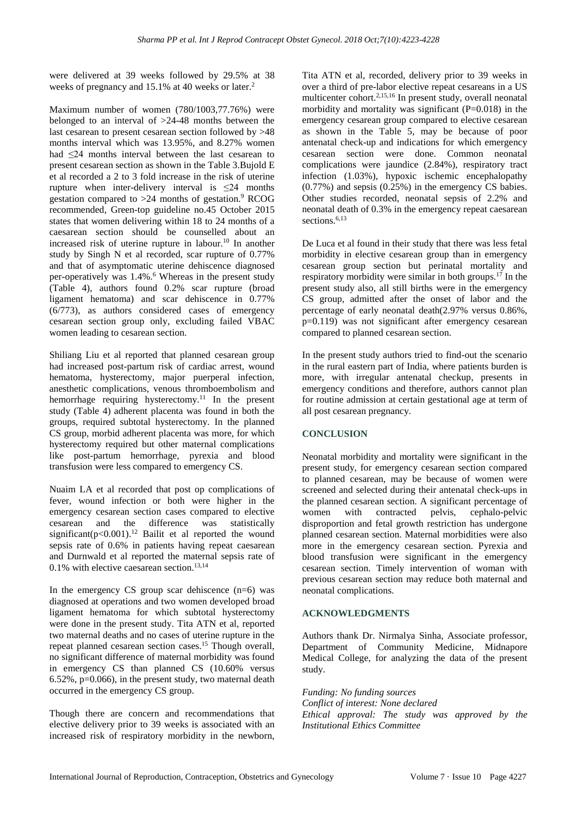were delivered at 39 weeks followed by 29.5% at 38 weeks of pregnancy and 15.1% at 40 weeks or later.<sup>2</sup>

Maximum number of women (780/1003,77.76%) were belonged to an interval of >24-48 months between the last cesarean to present cesarean section followed by >48 months interval which was 13.95%, and 8.27% women had ≤24 months interval between the last cesarean to present cesarean section as shown in the Table 3.Bujold E et al recorded a 2 to 3 fold increase in the risk of uterine rupture when inter-delivery interval is  $\leq 24$  months gestation compared to >24 months of gestation. <sup>9</sup> RCOG recommended, Green-top guideline no.45 October 2015 states that women delivering within 18 to 24 months of a caesarean section should be counselled about an increased risk of uterine rupture in labour. <sup>10</sup> In another study by Singh N et al recorded, scar rupture of 0.77% and that of asymptomatic uterine dehiscence diagnosed per-operatively was 1.4%. <sup>6</sup> Whereas in the present study (Table 4), authors found 0.2% scar rupture (broad ligament hematoma) and scar dehiscence in 0.77% (6/773), as authors considered cases of emergency cesarean section group only, excluding failed VBAC women leading to cesarean section.

Shiliang Liu et al reported that planned cesarean group had increased post-partum risk of cardiac arrest, wound hematoma, hysterectomy, major puerperal infection, anesthetic complications, venous thromboembolism and hemorrhage requiring hysterectomy. <sup>11</sup> In the present study (Table 4) adherent placenta was found in both the groups, required subtotal hysterectomy. In the planned CS group, morbid adherent placenta was more, for which hysterectomy required but other maternal complications like post-partum hemorrhage, pyrexia and blood transfusion were less compared to emergency CS.

Nuaim LA et al recorded that post op complications of fever, wound infection or both were higher in the emergency cesarean section cases compared to elective cesarean and the difference was statistically significant( $p<0.001$ ).<sup>12</sup> Bailit et al reported the wound sepsis rate of 0.6% in patients having repeat caesarean and Durnwald et al reported the maternal sepsis rate of 0.1% with elective caesarean section. 13,14

In the emergency CS group scar dehiscence  $(n=6)$  was diagnosed at operations and two women developed broad ligament hematoma for which subtotal hysterectomy were done in the present study. Tita ATN et al, reported two maternal deaths and no cases of uterine rupture in the repeat planned cesarean section cases. <sup>15</sup> Though overall, no significant difference of maternal morbidity was found in emergency CS than planned CS (10.60% versus 6.52%, p=0.066), in the present study, two maternal death occurred in the emergency CS group.

Though there are concern and recommendations that elective delivery prior to 39 weeks is associated with an increased risk of respiratory morbidity in the newborn, Tita ATN et al, recorded, delivery prior to 39 weeks in over a third of pre-labor elective repeat cesareans in a US multicenter cohort.2,15,16 In present study, overall neonatal morbidity and mortality was significant  $(P=0.018)$  in the emergency cesarean group compared to elective cesarean as shown in the Table 5, may be because of poor antenatal check-up and indications for which emergency cesarean section were done. Common neonatal complications were jaundice (2.84%), respiratory tract infection (1.03%), hypoxic ischemic encephalopathy (0.77%) and sepsis (0.25%) in the emergency CS babies. Other studies recorded, neonatal sepsis of 2.2% and neonatal death of 0.3% in the emergency repeat caesarean sections. 6,13

De Luca et al found in their study that there was less fetal morbidity in elective cesarean group than in emergency cesarean group section but perinatal mortality and respiratory morbidity were similar in both groups.<sup>17</sup> In the present study also, all still births were in the emergency CS group, admitted after the onset of labor and the percentage of early neonatal death(2.97% versus 0.86%, p=0.119) was not significant after emergency cesarean compared to planned cesarean section.

In the present study authors tried to find-out the scenario in the rural eastern part of India, where patients burden is more, with irregular antenatal checkup, presents in emergency conditions and therefore, authors cannot plan for routine admission at certain gestational age at term of all post cesarean pregnancy.

## **CONCLUSION**

Neonatal morbidity and mortality were significant in the present study, for emergency cesarean section compared to planned cesarean, may be because of women were screened and selected during their antenatal check-ups in the planned cesarean section. A significant percentage of women with contracted pelvis, cephalo-pelvic disproportion and fetal growth restriction has undergone planned cesarean section. Maternal morbidities were also more in the emergency cesarean section. Pyrexia and blood transfusion were significant in the emergency cesarean section. Timely intervention of woman with previous cesarean section may reduce both maternal and neonatal complications.

## **ACKNOWLEDGMENTS**

Authors thank Dr. Nirmalya Sinha, Associate professor, Department of Community Medicine, Midnapore Medical College, for analyzing the data of the present study.

*Funding: No funding sources Conflict of interest: None declared Ethical approval: The study was approved by the Institutional Ethics Committee*